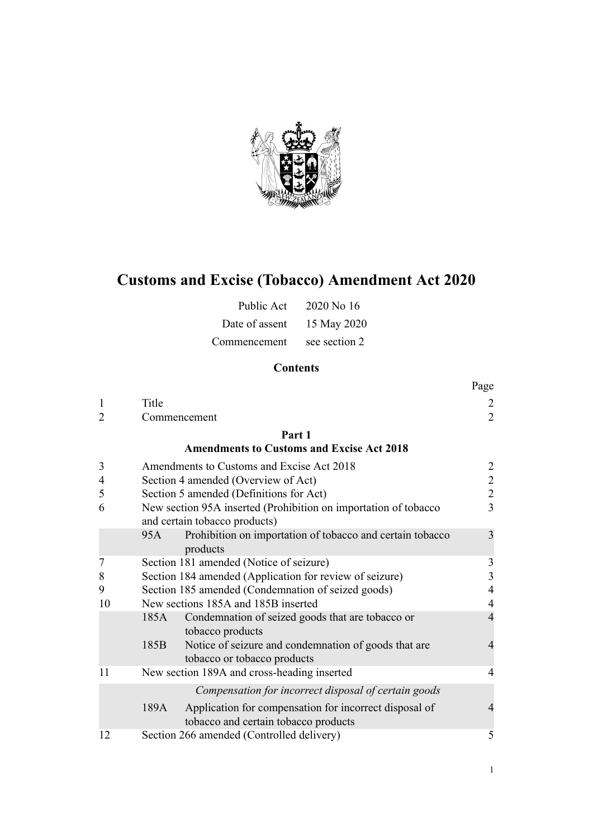

# **Customs and Excise (Tobacco) Amendment Act 2020**

| Public Act     | 2020 No 16    |
|----------------|---------------|
| Date of assent | 15 May 2020   |
| Commencement   | see section 2 |

# **Contents**

|    |                                                                                                        | Page           |  |
|----|--------------------------------------------------------------------------------------------------------|----------------|--|
| 1  | Title                                                                                                  |                |  |
| 2  | Commencement                                                                                           | $\overline{2}$ |  |
|    | Part 1                                                                                                 |                |  |
|    | <b>Amendments to Customs and Excise Act 2018</b>                                                       |                |  |
| 3  | Amendments to Customs and Excise Act 2018                                                              | 2              |  |
| 4  | $\overline{c}$<br>Section 4 amended (Overview of Act)                                                  |                |  |
| 5  | $\overline{2}$<br>Section 5 amended (Definitions for Act)                                              |                |  |
| 6  | New section 95A inserted (Prohibition on importation of tobacco<br>and certain tobacco products)       |                |  |
|    | Prohibition on importation of tobacco and certain tobacco<br>95A<br>products                           | 3              |  |
| 7  | Section 181 amended (Notice of seizure)                                                                | $\mathfrak{Z}$ |  |
| 8  | Section 184 amended (Application for review of seizure)                                                | 3              |  |
| 9  | Section 185 amended (Condemnation of seized goods)                                                     | $\overline{4}$ |  |
| 10 | New sections 185A and 185B inserted                                                                    |                |  |
|    | Condemnation of seized goods that are tobacco or<br>185A<br>tobacco products                           | $\overline{4}$ |  |
|    | Notice of seizure and condemnation of goods that are<br>185B<br>tobacco or tobacco products            | $\overline{4}$ |  |
| 11 | New section 189A and cross-heading inserted                                                            | $\overline{4}$ |  |
|    | Compensation for incorrect disposal of certain goods                                                   |                |  |
|    | Application for compensation for incorrect disposal of<br>189A<br>tobacco and certain tobacco products | $\overline{4}$ |  |
| 12 | Section 266 amended (Controlled delivery)                                                              | 5              |  |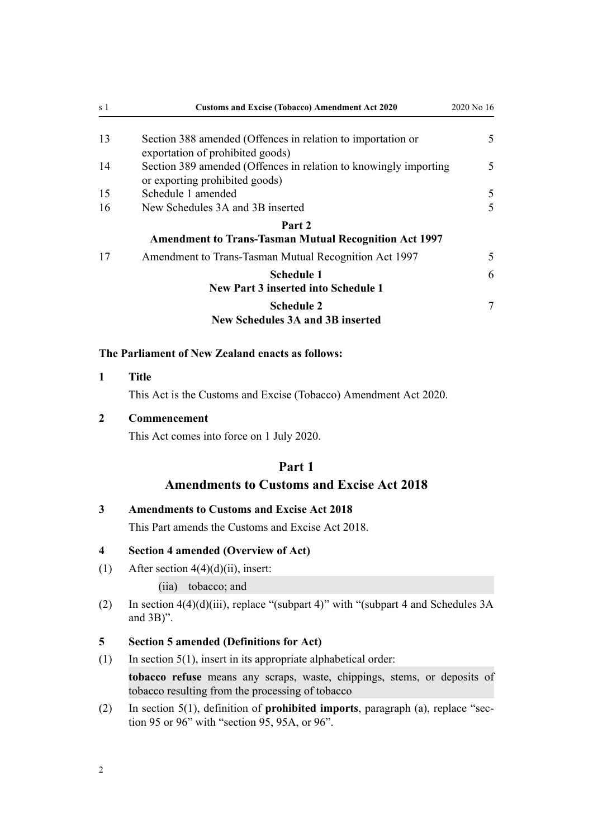<span id="page-1-0"></span>

| s 1 | <b>Customs and Excise (Tobacco) Amendment Act 2020</b>                                             | 2020 No 16 |
|-----|----------------------------------------------------------------------------------------------------|------------|
| 13  | Section 388 amended (Offences in relation to importation or<br>exportation of prohibited goods)    | 5          |
| 14  | Section 389 amended (Offences in relation to knowingly importing<br>or exporting prohibited goods) | 5          |
| 15  | Schedule 1 amended                                                                                 | 5          |
| 16  | New Schedules 3A and 3B inserted                                                                   | 5          |
|     | Part 2                                                                                             |            |
|     | <b>Amendment to Trans-Tasman Mutual Recognition Act 1997</b>                                       |            |
| 17  | Amendment to Trans-Tasman Mutual Recognition Act 1997                                              | 5          |
|     | <b>Schedule 1</b>                                                                                  | 6          |
|     | <b>New Part 3 inserted into Schedule 1</b>                                                         |            |
|     | <b>Schedule 2</b>                                                                                  | 7          |
|     | <b>New Schedules 3A and 3B inserted</b>                                                            |            |

### **The Parliament of New Zealand enacts as follows:**

**1 Title**

This Act is the Customs and Excise (Tobacco) Amendment Act 2020.

### **2 Commencement**

This Act comes into force on 1 July 2020.

# **Part 1**

# **Amendments to Customs and Excise Act 2018**

# **3 Amendments to Customs and Excise Act 2018**

This Part amends the [Customs and Excise Act 2018](http://legislation.govt.nz/pdflink.aspx?id=DLM7038920).

### **4 Section 4 amended (Overview of Act)**

(1) After section  $4(4)(d)(ii)$ , insert:

(iia) tobacco; and

(2) In section  $4(4)(d)(iii)$ , replace "(subpart 4)" with "(subpart 4 and Schedules 3A) and 3B)".

### **5 Section 5 amended (Definitions for Act)**

- (1) In section  $5(1)$ , insert in its appropriate alphabetical order: **tobacco refuse** means any scraps, waste, chippings, stems, or deposits of tobacco resulting from the processing of tobacco
- (2) In [section 5\(1\),](http://legislation.govt.nz/pdflink.aspx?id=DLM7038971) definition of **prohibited imports**, paragraph (a), replace "section 95 or 96" with "section 95, 95A, or 96".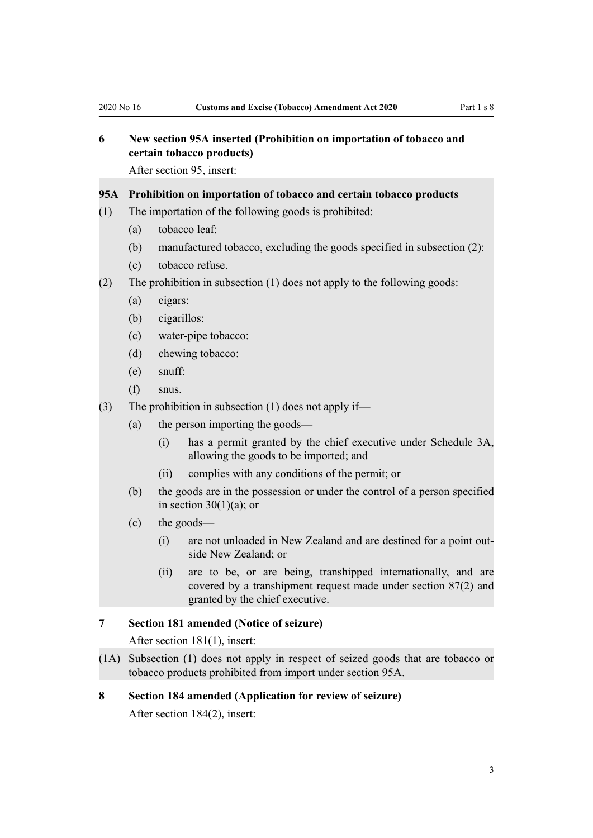# <span id="page-2-0"></span>**6 New section 95A inserted (Prohibition on importation of tobacco and certain tobacco products)**

After [section 95](http://legislation.govt.nz/pdflink.aspx?id=DLM7039308), insert:

### **95A Prohibition on importation of tobacco and certain tobacco products**

- (1) The importation of the following goods is prohibited:
	- (a) tobacco leaf:
	- (b) manufactured tobacco, excluding the goods specified in subsection (2):
	- (c) tobacco refuse.
- (2) The prohibition in subsection (1) does not apply to the following goods:
	- (a) cigars:
	- (b) cigarillos:
	- (c) water-pipe tobacco:
	- (d) chewing tobacco:
	- (e) snuff:
	- (f) snus.
- (3) The prohibition in subsection (1) does not apply if—
	- (a) the person importing the goods—
		- (i) has a permit granted by the chief executive under Schedule 3A, allowing the goods to be imported; and
		- (ii) complies with any conditions of the permit; or
	- (b) the goods are in the possession or under the control of a person specified in section  $30(1)(a)$ ; or
	- (c) the goods—
		- (i) are not unloaded in New Zealand and are destined for a point outside New Zealand; or
		- (ii) are to be, or are being, transhipped internationally, and are covered by a transhipment request made under section 87(2) and granted by the chief executive.

### **7 Section 181 amended (Notice of seizure)**

After [section 181\(1\)](http://legislation.govt.nz/pdflink.aspx?id=DLM7039436), insert:

(1A) Subsection (1) does not apply in respect of seized goods that are tobacco or tobacco products prohibited from import under section 95A.

### **8 Section 184 amended (Application for review of seizure)**

After [section 184\(2\)](http://legislation.govt.nz/pdflink.aspx?id=DLM7039440), insert: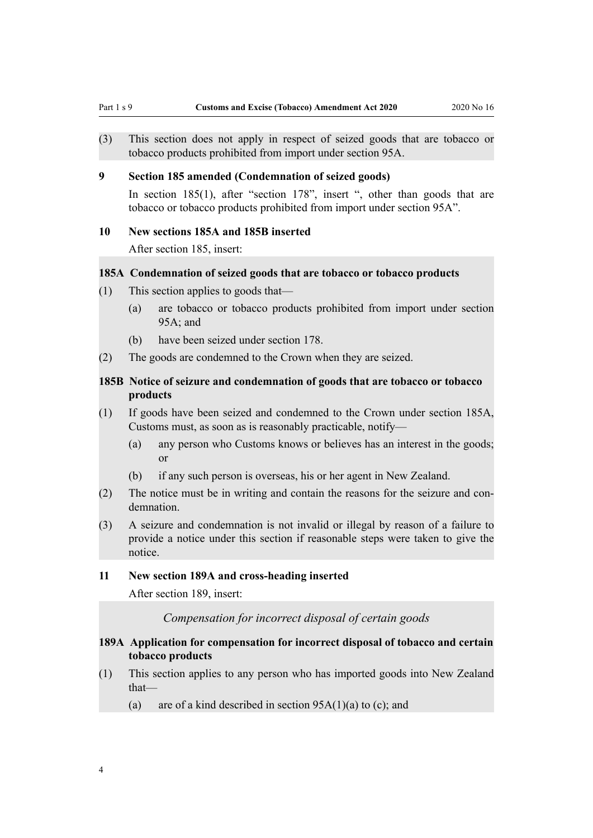<span id="page-3-0"></span>(3) This section does not apply in respect of seized goods that are tobacco or tobacco products prohibited from import under section 95A.

### **9 Section 185 amended (Condemnation of seized goods)**

In [section 185\(1\),](http://legislation.govt.nz/pdflink.aspx?id=DLM7039442) after "section 178", insert ", other than goods that are tobacco or tobacco products prohibited from import under section 95A".

#### **10 New sections 185A and 185B inserted**

After [section 185](http://legislation.govt.nz/pdflink.aspx?id=DLM7039442), insert:

### **185A Condemnation of seized goods that are tobacco or tobacco products**

- (1) This section applies to goods that—
	- (a) are tobacco or tobacco products prohibited from import under section 95A; and
	- (b) have been seized under section 178.
- (2) The goods are condemned to the Crown when they are seized.

### **185B Notice of seizure and condemnation of goods that are tobacco or tobacco products**

- (1) If goods have been seized and condemned to the Crown under section 185A, Customs must, as soon as is reasonably practicable, notify—
	- (a) any person who Customs knows or believes has an interest in the goods; or
	- (b) if any such person is overseas, his or her agent in New Zealand.
- (2) The notice must be in writing and contain the reasons for the seizure and condemnation.
- (3) A seizure and condemnation is not invalid or illegal by reason of a failure to provide a notice under this section if reasonable steps were taken to give the notice.

### **11 New section 189A and cross-heading inserted**

After [section 189](http://legislation.govt.nz/pdflink.aspx?id=DLM7039445), insert:

*Compensation for incorrect disposal of certain goods*

### **189A Application for compensation for incorrect disposal of tobacco and certain tobacco products**

- (1) This section applies to any person who has imported goods into New Zealand that—
	- (a) are of a kind described in section  $95A(1)(a)$  to (c); and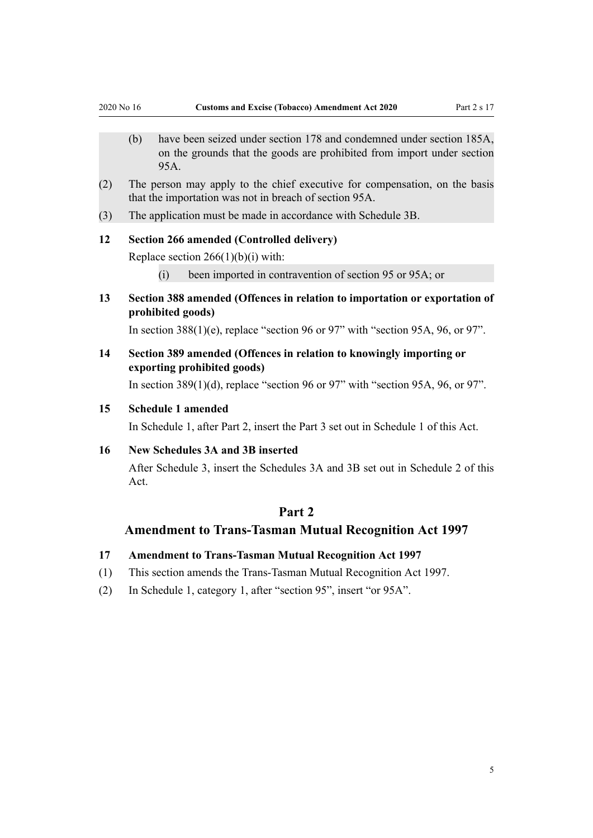- <span id="page-4-0"></span>(b) have been seized under section 178 and condemned under section 185A, on the grounds that the goods are prohibited from import under section 95A.
- (2) The person may apply to the chief executive for compensation, on the basis that the importation was not in breach of section 95A.
- (3) The application must be made in accordance with Schedule 3B.

### **12 Section 266 amended (Controlled delivery)**

Replace [section 266\(1\)\(b\)\(i\)](http://legislation.govt.nz/pdflink.aspx?id=DLM7039587) with:

- (i) been imported in contravention of section 95 or 95A; or
- **13 Section 388 amended (Offences in relation to importation or exportation of prohibited goods)**

In section  $388(1)(e)$ , replace "section 96 or 97" with "section 95A, 96, or 97".

**14 Section 389 amended (Offences in relation to knowingly importing or exporting prohibited goods)**

In section  $389(1)(d)$ , replace "section 96 or 97" with "section 95A, 96, or 97".

### **15 Schedule 1 amended**

In Schedule 1, after [Part 2](http://legislation.govt.nz/pdflink.aspx?id=LMS136048), insert the Part 3 set out in [Schedule 1](#page-5-0) of this Act.

### **16 New Schedules 3A and 3B inserted**

After [Schedule 3](http://legislation.govt.nz/pdflink.aspx?id=DLM7039984), insert the Schedules 3A and 3B set out in [Schedule 2](#page-6-0) of this Act.

### **Part 2**

### **Amendment to Trans-Tasman Mutual Recognition Act 1997**

### **17 Amendment to Trans-Tasman Mutual Recognition Act 1997**

- (1) This section amends the [Trans-Tasman Mutual Recognition Act 1997.](http://legislation.govt.nz/pdflink.aspx?id=DLM410792)
- (2) In [Schedule 1](http://legislation.govt.nz/pdflink.aspx?id=DLM411384), category 1, after "section 95", insert "or 95A".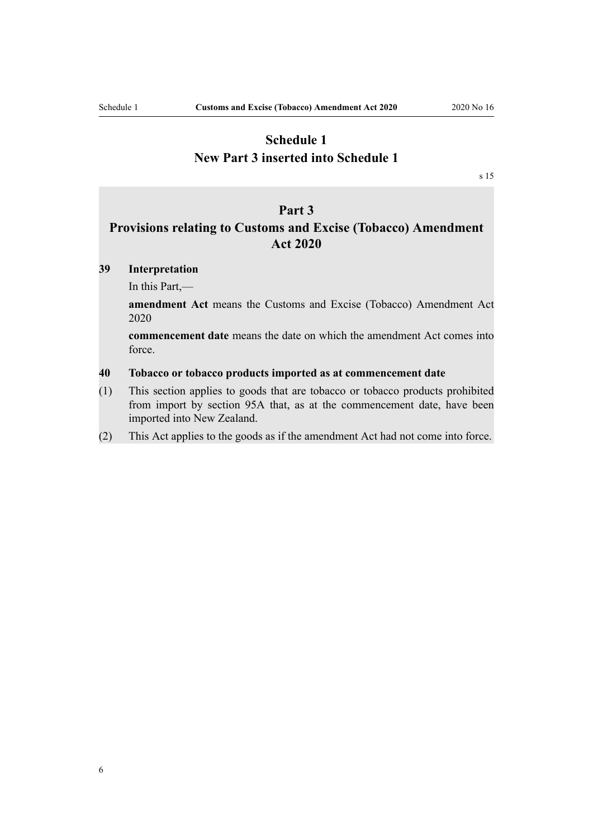# <span id="page-5-0"></span>**Schedule 1 New Part 3 inserted into Schedule 1**

[s 15](#page-4-0)

### **Part 3**

# **Provisions relating to Customs and Excise (Tobacco) Amendment Act 2020**

### **39 Interpretation**

In this Part,—

**amendment Act** means the Customs and Excise (Tobacco) Amendment Act 2020

**commencement date** means the date on which the amendment Act comes into force.

### **40 Tobacco or tobacco products imported as at commencement date**

- (1) This section applies to goods that are tobacco or tobacco products prohibited from import by section 95A that, as at the commencement date, have been imported into New Zealand.
- (2) This Act applies to the goods as if the amendment Act had not come into force.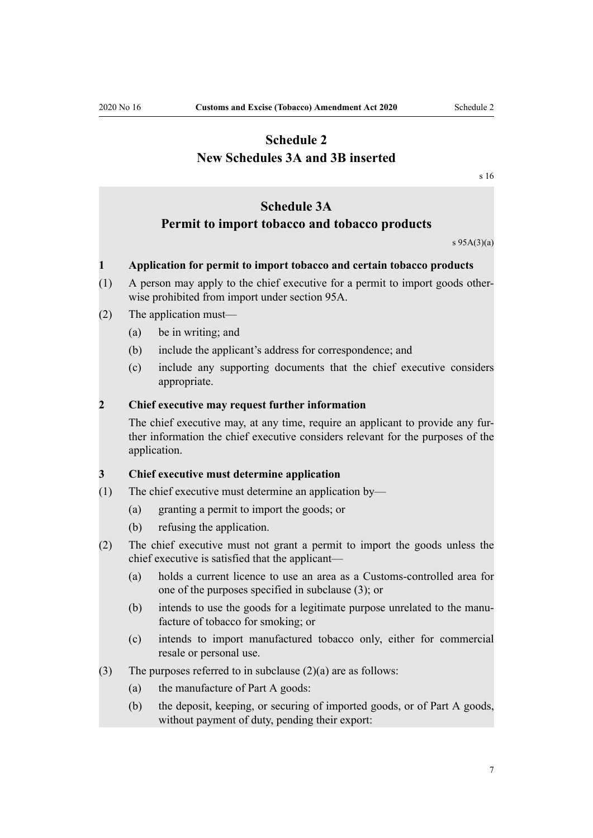# <span id="page-6-0"></span>**Schedule 2 New Schedules 3A and 3B inserted**

[s 16](#page-4-0)

# **Schedule 3A**

# **Permit to import tobacco and tobacco products**

s 95A(3)(a)

### **1 Application for permit to import tobacco and certain tobacco products**

(1) A person may apply to the chief executive for a permit to import goods otherwise prohibited from import under section 95A.

### (2) The application must—

- (a) be in writing; and
- (b) include the applicant's address for correspondence; and
- (c) include any supporting documents that the chief executive considers appropriate.

### **2 Chief executive may request further information**

The chief executive may, at any time, require an applicant to provide any further information the chief executive considers relevant for the purposes of the application.

### **3 Chief executive must determine application**

- (1) The chief executive must determine an application by—
	- (a) granting a permit to import the goods; or
	- (b) refusing the application.
- (2) The chief executive must not grant a permit to import the goods unless the chief executive is satisfied that the applicant—
	- (a) holds a current licence to use an area as a Customs-controlled area for one of the purposes specified in subclause (3); or
	- (b) intends to use the goods for a legitimate purpose unrelated to the manufacture of tobacco for smoking; or
	- (c) intends to import manufactured tobacco only, either for commercial resale or personal use.
- (3) The purposes referred to in subclause  $(2)(a)$  are as follows:
	- (a) the manufacture of Part A goods:
	- (b) the deposit, keeping, or securing of imported goods, or of Part A goods, without payment of duty, pending their export: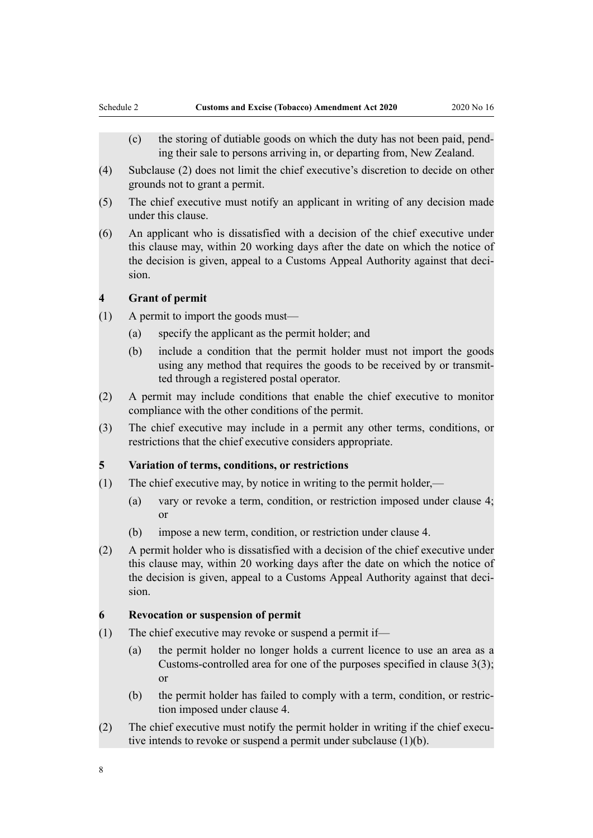- (c) the storing of dutiable goods on which the duty has not been paid, pending their sale to persons arriving in, or departing from, New Zealand.
- (4) Subclause (2) does not limit the chief executive's discretion to decide on other grounds not to grant a permit.
- (5) The chief executive must notify an applicant in writing of any decision made under this clause.
- (6) An applicant who is dissatisfied with a decision of the chief executive under this clause may, within 20 working days after the date on which the notice of the decision is given, appeal to a Customs Appeal Authority against that decision.

### **4 Grant of permit**

- (1) A permit to import the goods must—
	- (a) specify the applicant as the permit holder; and
	- (b) include a condition that the permit holder must not import the goods using any method that requires the goods to be received by or transmitted through a registered postal operator.
- (2) A permit may include conditions that enable the chief executive to monitor compliance with the other conditions of the permit.
- (3) The chief executive may include in a permit any other terms, conditions, or restrictions that the chief executive considers appropriate.

### **5 Variation of terms, conditions, or restrictions**

- (1) The chief executive may, by notice in writing to the permit holder,—
	- (a) vary or revoke a term, condition, or restriction imposed under clause 4; or
	- (b) impose a new term, condition, or restriction under clause 4.
- (2) A permit holder who is dissatisfied with a decision of the chief executive under this clause may, within 20 working days after the date on which the notice of the decision is given, appeal to a Customs Appeal Authority against that decision.

### **6 Revocation or suspension of permit**

- (1) The chief executive may revoke or suspend a permit if—
	- (a) the permit holder no longer holds a current licence to use an area as a Customs-controlled area for one of the purposes specified in clause 3(3); or
	- (b) the permit holder has failed to comply with a term, condition, or restriction imposed under clause 4.
- (2) The chief executive must notify the permit holder in writing if the chief executive intends to revoke or suspend a permit under subclause (1)(b).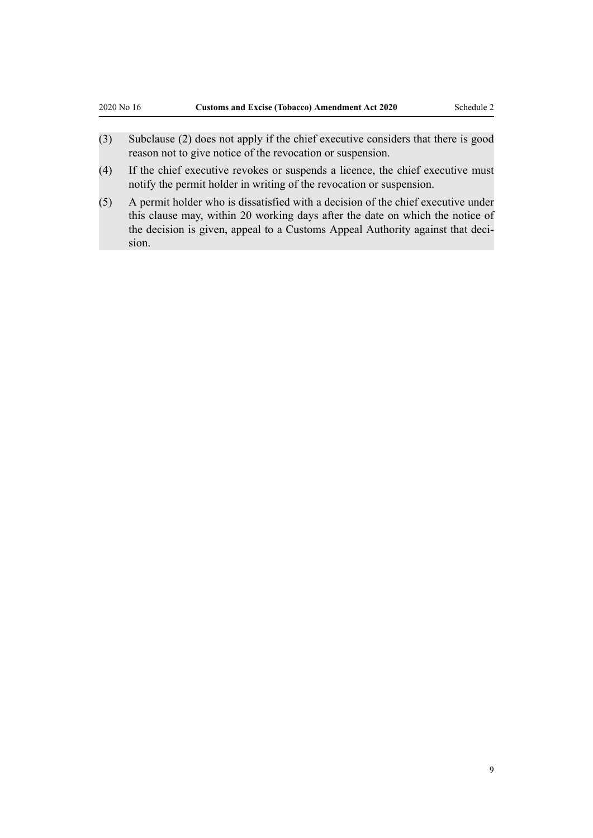- (3) Subclause (2) does not apply if the chief executive considers that there is good reason not to give notice of the revocation or suspension.
- (4) If the chief executive revokes or suspends a licence, the chief executive must notify the permit holder in writing of the revocation or suspension.
- (5) A permit holder who is dissatisfied with a decision of the chief executive under this clause may, within 20 working days after the date on which the notice of the decision is given, appeal to a Customs Appeal Authority against that decision.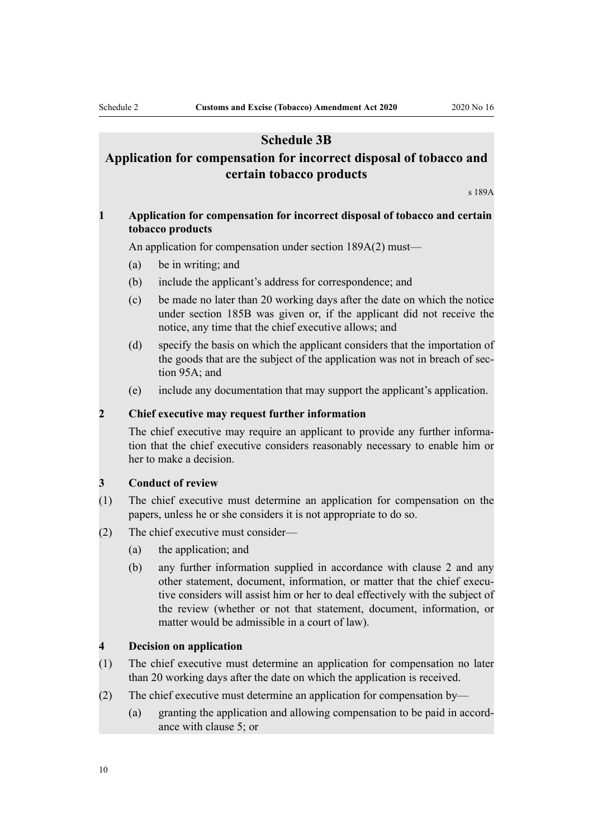## **Schedule 3B**

# **Application for compensation for incorrect disposal of tobacco and certain tobacco products**

s 189A

### **1 Application for compensation for incorrect disposal of tobacco and certain tobacco products**

An application for compensation under section 189A(2) must—

- (a) be in writing; and
- (b) include the applicant's address for correspondence; and
- (c) be made no later than 20 working days after the date on which the notice under section 185B was given or, if the applicant did not receive the notice, any time that the chief executive allows; and
- (d) specify the basis on which the applicant considers that the importation of the goods that are the subject of the application was not in breach of section 95A; and
- (e) include any documentation that may support the applicant's application.

### **2 Chief executive may request further information**

The chief executive may require an applicant to provide any further information that the chief executive considers reasonably necessary to enable him or her to make a decision.

#### **3 Conduct of review**

- (1) The chief executive must determine an application for compensation on the papers, unless he or she considers it is not appropriate to do so.
- (2) The chief executive must consider—
	- (a) the application; and
	- (b) any further information supplied in accordance with clause 2 and any other statement, document, information, or matter that the chief executive considers will assist him or her to deal effectively with the subject of the review (whether or not that statement, document, information, or matter would be admissible in a court of law).

### **4 Decision on application**

- (1) The chief executive must determine an application for compensation no later than 20 working days after the date on which the application is received.
- (2) The chief executive must determine an application for compensation by—
	- (a) granting the application and allowing compensation to be paid in accordance with clause 5; or